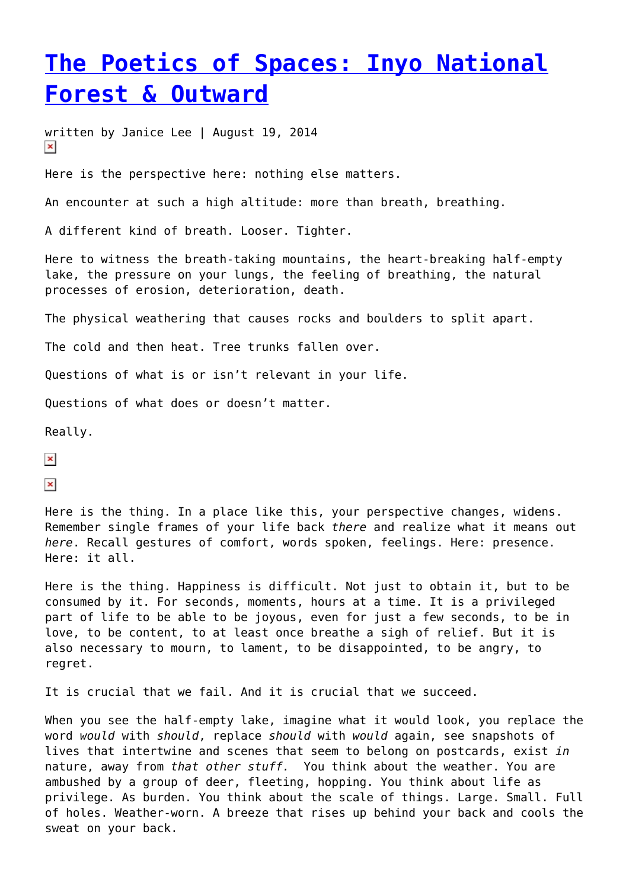## **[The Poetics of Spaces: Inyo National](https://entropymag.org/the-poetics-of-spaces-inyo-national-forest/) [Forest & Outward](https://entropymag.org/the-poetics-of-spaces-inyo-national-forest/)**

written by Janice Lee | August 19, 2014  $\pmb{\times}$ 

Here is the perspective here: nothing else matters.

An encounter at such a high altitude: more than breath, breathing.

A different kind of breath. Looser. Tighter.

Here to witness the breath-taking mountains, the heart-breaking half-empty lake, the pressure on your lungs, the feeling of breathing, the natural processes of erosion, deterioration, death.

The physical weathering that causes rocks and boulders to split apart.

The cold and then heat. Tree trunks fallen over.

Questions of what is or isn't relevant in your life.

Questions of what does or doesn't matter.

Really.

 $\pmb{\times}$ 

 $\pmb{\times}$ 

Here is the thing. In a place like this, your perspective changes, widens. Remember single frames of your life back *there* and realize what it means out *here*. Recall gestures of comfort, words spoken, feelings. Here: presence. Here: it all.

Here is the thing. Happiness is difficult. Not just to obtain it, but to be consumed by it. For seconds, moments, hours at a time. It is a privileged part of life to be able to be joyous, even for just a few seconds, to be in love, to be content, to at least once breathe a sigh of relief. But it is also necessary to mourn, to lament, to be disappointed, to be angry, to regret.

It is crucial that we fail. And it is crucial that we succeed.

When you see the half-empty lake, imagine what it would look, you replace the word *would* with *should*, replace *should* with *would* again, see snapshots of lives that intertwine and scenes that seem to belong on postcards, exist *in* nature, away from *that other stuff.* You think about the weather. You are ambushed by a group of deer, fleeting, hopping. You think about life as privilege. As burden. You think about the scale of things. Large. Small. Full of holes. Weather-worn. A breeze that rises up behind your back and cools the sweat on your back.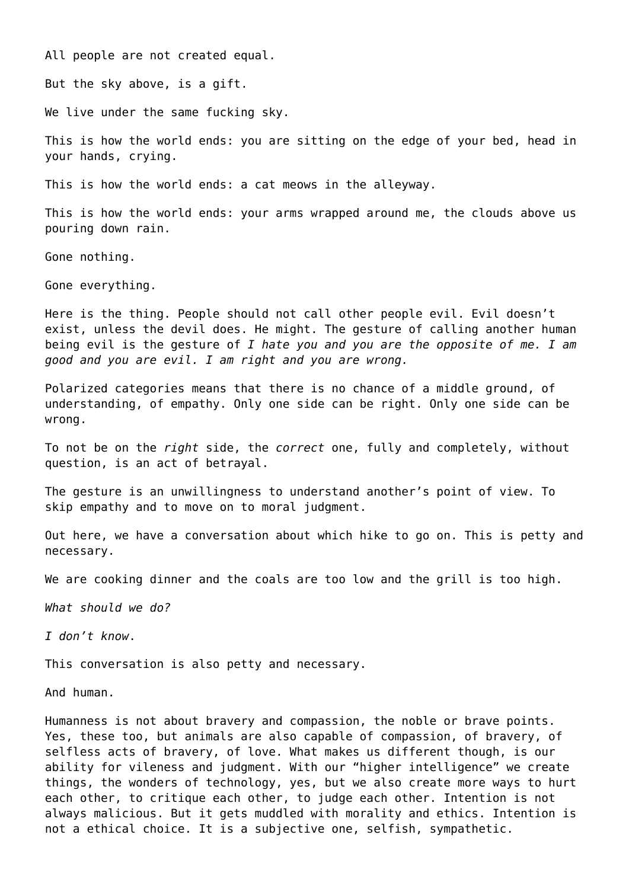All people are not created equal.

But the sky above, is a gift.

We live under the same fucking sky.

This is how the world ends: you are sitting on the edge of your bed, head in your hands, crying.

This is how the world ends: a cat meows in the alleyway.

This is how the world ends: your arms wrapped around me, the clouds above us pouring down rain.

Gone nothing.

Gone everything.

Here is the thing. People should not call other people evil. Evil doesn't exist, unless the devil does. He might. The gesture of calling another human being evil is the gesture of *I hate you and you are the opposite of me. I am good and you are evil. I am right and you are wrong.*

Polarized categories means that there is no chance of a middle ground, of understanding, of empathy. Only one side can be right. Only one side can be wrong.

To not be on the *right* side, the *correct* one, fully and completely, without question, is an act of betrayal.

The gesture is an unwillingness to understand another's point of view. To skip empathy and to move on to moral judgment.

Out here, we have a conversation about which hike to go on. This is petty and necessary.

We are cooking dinner and the coals are too low and the grill is too high.

*What should we do?*

*I don't know*.

This conversation is also petty and necessary.

And human.

Humanness is not about bravery and compassion, the noble or brave points. Yes, these too, but animals are also capable of compassion, of bravery, of selfless acts of bravery, of love. What makes us different though, is our ability for vileness and judgment. With our "higher intelligence" we create things, the wonders of technology, yes, but we also create more ways to hurt each other, to critique each other, to judge each other. Intention is not always malicious. But it gets muddled with morality and ethics. Intention is not a ethical choice. It is a subjective one, selfish, sympathetic.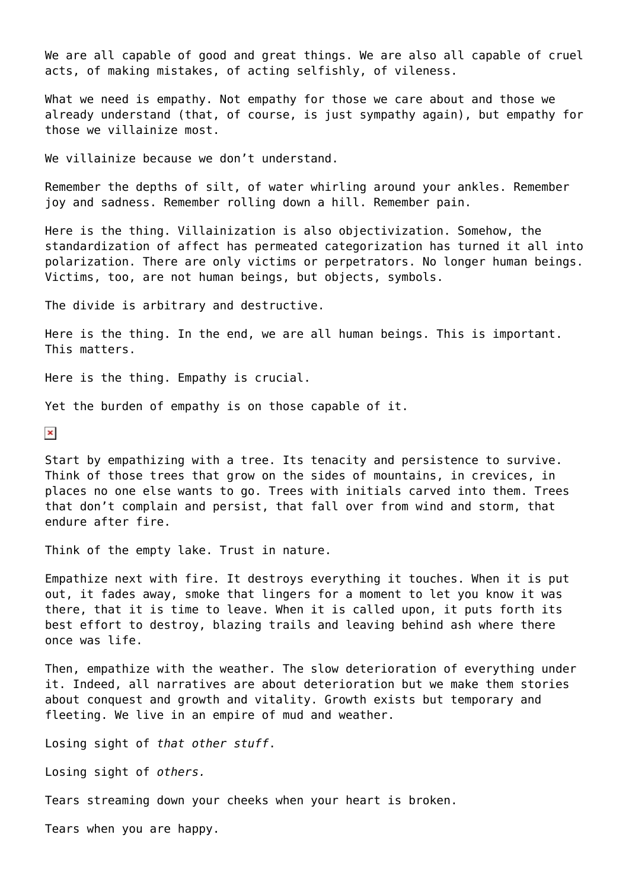We are all capable of good and great things. We are also all capable of cruel acts, of making mistakes, of acting selfishly, of vileness.

What we need is empathy. Not empathy for those we care about and those we already understand (that, of course, is just sympathy again), but empathy for those we villainize most.

We villainize because we don't understand.

Remember the depths of silt, of water whirling around your ankles. Remember joy and sadness. Remember rolling down a hill. Remember pain.

Here is the thing. Villainization is also objectivization. Somehow, the standardization of affect has permeated categorization has turned it all into polarization. There are only victims or perpetrators. No longer human beings. Victims, too, are not human beings, but objects, symbols.

The divide is arbitrary and destructive.

Here is the thing. In the end, we are all human beings. This is important. This matters.

Here is the thing. Empathy is crucial.

Yet the burden of empathy is on those capable of it.

 $\pmb{\times}$ 

Start by empathizing with a tree. Its tenacity and persistence to survive. Think of those trees that grow on the sides of mountains, in crevices, in places no one else wants to go. Trees with initials carved into them. Trees that don't complain and persist, that fall over from wind and storm, that endure after fire.

Think of the empty lake. Trust in nature.

Empathize next with fire. It destroys everything it touches. When it is put out, it fades away, smoke that lingers for a moment to let you know it was there, that it is time to leave. When it is called upon, it puts forth its best effort to destroy, blazing trails and leaving behind ash where there once was life.

Then, empathize with the weather. The slow deterioration of everything under it. Indeed, all narratives are about deterioration but we make them stories about conquest and growth and vitality. Growth exists but temporary and fleeting. We live in an empire of mud and weather.

Losing sight of *that other stuff*.

Losing sight of *others.*

Tears streaming down your cheeks when your heart is broken.

Tears when you are happy.